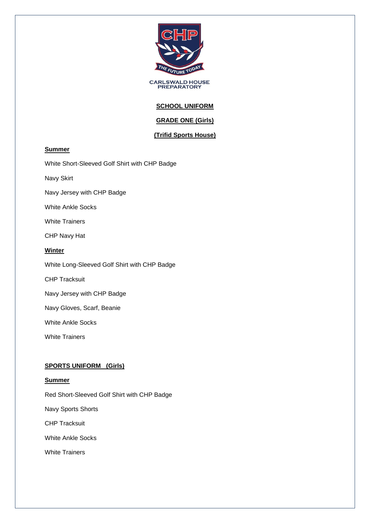

**CARLSWALD HOUSE**<br>PREPARATORY

# **SCHOOL UNIFORM**

# **GRADE ONE (Girls)**

## **(Trifid Sports House)**

### **Summer**

White Short-Sleeved Golf Shirt with CHP Badge

Navy Skirt

Navy Jersey with CHP Badge

White Ankle Socks

White Trainers

CHP Navy Hat

### **Winter**

White Long-Sleeved Golf Shirt with CHP Badge

CHP Tracksuit

Navy Jersey with CHP Badge

Navy Gloves, Scarf, Beanie

White Ankle Socks

White Trainers

### **SPORTS UNIFORM (Girls)**

### **Summer**

Red Short-Sleeved Golf Shirt with CHP Badge

Navy Sports Shorts

CHP Tracksuit

White Ankle Socks

White Trainers